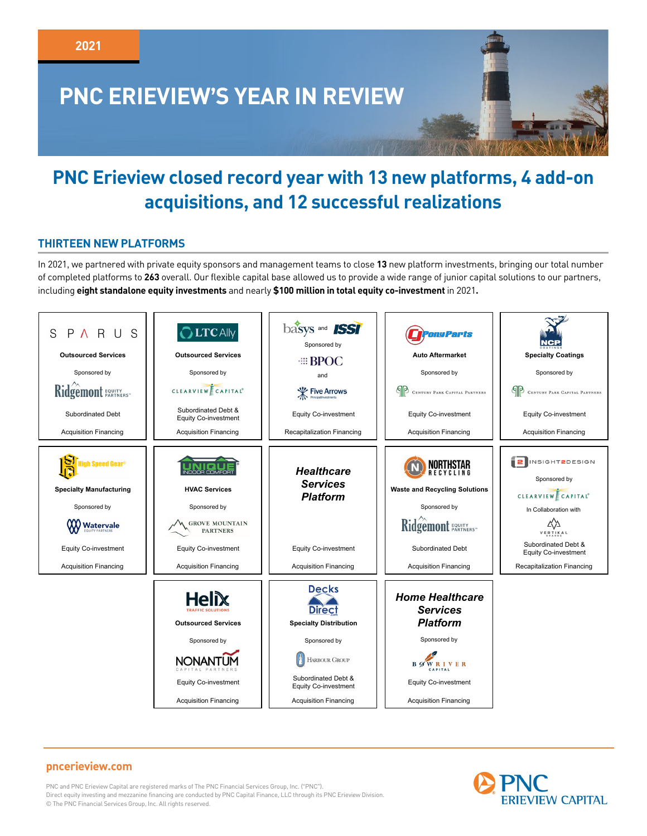

# **PNC Erieview closed record year with 13 new platforms, 4 add-on acquisitions, and 12 successful realizations**

## **THIRTEEN NEW PLATFORMS**

In 2021, we partnered with private equity sponsors and management teams to close **13** new platform investments, bringing our total number of completed platforms to **263** overall. Our flexible capital base allowed us to provide a wide range of junior capital solutions to our partners, including **eight standalone equity investments** and nearly **\$100 million in total equity co-investment** in 2021**.**



# **pncerieview.com**

PNC and PNC Erieview Capital are registered marks of The PNC Financial Services Group, Inc. ("PNC"). Direct equity investing and mezzanine financing are conducted by PNC Capital Finance, LLC through its PNC Erieview Division. © The PNC Financial Services Group, Inc. All rights reserved.